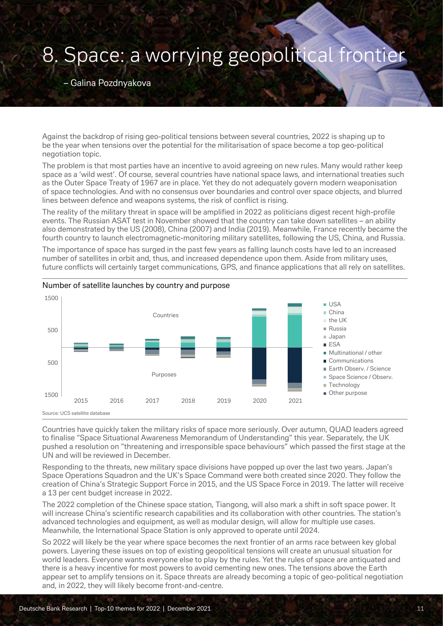## 8. Space: a worrying geopolitical frontier

– Galina Pozdnyakova

Against the backdrop of rising geo-political tensions between several countries, 2022 is shaping up to be the year when tensions over the potential for the militarisation of space become a top geo-political negotiation topic.

The problem is that most parties have an incentive to avoid agreeing on new rules. Many would rather keep space as a 'wild west'. Of course, several countries have national space laws, and international treaties such as the Outer Space Treaty of 1967 are in place. Yet they do not adequately govern modern weaponisation of space technologies. And with no consensus over boundaries and control over space objects, and blurred lines between defence and weapons systems, the risk of conflict is rising.

The reality of the military threat in space will be amplified in 2022 as politicians digest recent high-profile events. The Russian ASAT test in November showed that the country can take down satellites – an ability also demonstrated by the US (2008), China (2007) and India (2019). Meanwhile, France recently became the fourth country to launch electromagnetic-monitoring military satellites, following the US, China, and Russia.

The importance of space has surged in the past few years as falling launch costs have led to an increased number of satellites in orbit and, thus, and increased dependence upon them. Aside from military uses, future conflicts will certainly target communications, GPS, and finance applications that all rely on satellites.



## Number of satellite launches by country and purpose

Countries have quickly taken the military risks of space more seriously. Over autumn, QUAD leaders agreed to finalise "Space Situational Awareness Memorandum of Understanding" this year. Separately, the UK pushed a resolution on "threatening and irresponsible space behaviours" which passed the first stage at the UN and will be reviewed in December.

Responding to the threats, new military space divisions have popped up over the last two years. Japan's Space Operations Squadron and the UK's Space Command were both created since 2020. They follow the creation of China's Strategic Support Force in 2015, and the US Space Force in 2019. The latter will receive a 13 per cent budget increase in 2022.

The 2022 completion of the Chinese space station, Tiangong, will also mark a shift in soft space power. It will increase China's scientific research capabilities and its collaboration with other countries. The station's advanced technologies and equipment, as well as modular design, will allow for multiple use cases. Meanwhile, the International Space Station is only approved to operate until 2024.

So 2022 will likely be the year where space becomes the next frontier of an arms race between key global powers. Layering these issues on top of existing geopolitical tensions will create an unusual situation for world leaders. Everyone wants everyone else to play by the rules. Yet the rules of space are antiquated and there is a heavy incentive for most powers to avoid cementing new ones. The tensions above the Earth appear set to amplify tensions on it. Space threats are already becoming a topic of geo-political negotiation and, in 2022, they will likely become front-and-centre.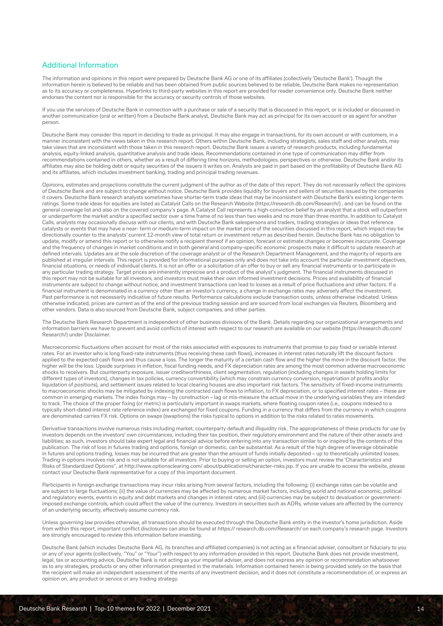## Additional Information

The information and opinions in this report were prepared by Deutsche Bank AG or one of its affiliates (collectively 'Deutsche Bank'). Though the information herein is believed to be reliable and has been obtained from public sources believed to be reliable, Deutsche Bank makes no representation as to its accuracy or completeness. Hyperlinks to third-party websites in this report are provided for reader convenience only. Deutsche Bank neither endorses the content nor is responsible for the accuracy or security controls of those websites.

If you use the services of Deutsche Bank in connection with a purchase or sale of a security that is discussed in this report, or is included or discussed in another communication (oral or written) from a Deutsche Bank analyst, Deutsche Bank may act as principal for its own account or as agent for another person.

Deutsche Bank may consider this report in deciding to trade as principal. It may also engage in transactions, for its own account or with customers, in a manner inconsistent with the views taken in this research report. Others within Deutsche Bank, including strategists, sales staff and other analysts, may take views that are inconsistent with those taken in this research report. Deutsche Bank issues a variety of research products, including fundamental analysis, equity-linked analysis, quantitative analysis and trade ideas. Recommendations contained in one type of communication may differ from recommendations contained in others, whether as a result of differing time horizons, methodologies, perspectives or otherwise. Deutsche Bank and/or its affiliates may also be holding debt or equity securities of the issuers it writes on. Analysts are paid in part based on the profitability of Deutsche Bank AG and its affiliates, which includes investment banking, trading and principal trading revenues.

Opinions, estimates and projections constitute the current judgment of the author as of the date of this report. They do not necessarily reflect the opinions of Deutsche Bank and are subject to change without notice. Deutsche Bank provides liquidity for buyers and sellers of securities issued by the companies it covers. Deutsche Bank research analysts sometimes have shorter-term trade ideas that may be inconsistent with Deutsche Bank's existing longer-term ratings. Some trade ideas for equities are listed as Catalyst Calls on the Research Website (https://research.db.com/Research/) , and can be found on the general coverage list and also on the covered company's page. A Catalyst Call represents a high-conviction belief by an analyst that a stock will outperform or underperform the market and/or a specified sector over a time frame of no less than two weeks and no more than three months. In addition to Catalyst Calls, analysts may occasionally discuss with our clients, and with Deutsche Bank salespersons and traders, trading strategies or ideas that reference catalysts or events that may have a near- term or medium-term impact on the market price of the securities discussed in this report, which impact may be directionally counter to the analysts' current 12-month view of total return or investment return as described herein. Deutsche Bank has no obligation to update, modify or amend this report or to otherwise notify a recipient thereof if an opinion, forecast or estimate changes or becomes inaccurate. Coverage and the frequency of changes in market conditions and in both general and company-specific economic prospects make it difficult to update research at defined intervals. Updates are at the sole discretion of the coverage analyst or of the Research Department Management, and the majority of reports are published at irregular intervals. This report is provided for informational purposes only and does not take into account the particular investment objectives, financial situations, or needs of individual clients. It is not an offer or a solicitation of an offer to buy or sell any financial instruments or to participate in any particular trading strategy. Target prices are inherently imprecise and a product of the analyst's judgment. The financial instruments discussed in this report may not be suitable for all investors, and investors must make their own informed investment decisions. Prices and availability of financial instruments are subject to change without notice, and investment transactions can lead to losses as a result of price fluctuations and other factors. If a financial instrument is denominated in a currency other than an investor's currency, a change in exchange rates may adversely affect the investment. Past performance is not necessarily indicative of future results. Performance calculations exclude transaction costs, unless otherwise indicated. Unless otherwise indicated, prices are current as of the end of the previous trading session and are sourced from local exchanges via Reuters, Bloomberg and other vendors. Data is also sourced from Deutsche Bank, subject companies, and other parties.

The Deutsche Bank Research Department is independent of other business divisions of the Bank. Details regarding our organizational arrangements and information barriers we have to prevent and avoid conflicts of interest with respect to our research are available on our website (https://research.db.com/ Research/) under Disclaimer.

Macroeconomic fluctuations often account for most of the risks associated with exposures to instruments that promise to pay fixed or variable interest rates. For an investor who is long fixed-rate instruments (thus receiving these cash flows), increases in interest rates naturally lift the discount factors applied to the expected cash flows and thus cause a loss. The longer the maturity of a certain cash flow and the higher the move in the discount factor, the higher will be the loss. Upside surprises in inflation, fiscal funding needs, and FX depreciation rates are among the most common adverse macroeconomic shocks to receivers. But counterparty exposure, issuer creditworthiness, client segmentation, regulation (including changes in assets holding limits for different types of investors), changes in tax policies, currency convertibility (which may constrain currency conversion, repatriation of profits and/or liquidation of positions), and settlement issues related to local clearing houses are also important risk factors. The sensitivity of fixed-income instruments to macroeconomic shocks may be mitigated by indexing the contracted cash flows to inflation, to FX depreciation, or to specified interest rates – these are common in emerging markets. The index fixings may – by construction – lag or mis-measure the actual move in the underlying variables they are intended to track. The choice of the proper fixing (or metric) is particularly important in swaps markets, where floating coupon rates (i.e., coupons indexed to a typically short-dated interest rate reference index) are exchanged for fixed coupons. Funding in a currency that differs from the currency in which coupons are denominated carries FX risk. Options on swaps (swaptions) the risks typical to options in addition to the risks related to rates movements.

Derivative transactions involve numerous risks including market, counterparty default and illiquidity risk. The appropriateness of these products for use by investors depends on the investors' own circumstances, including their tax position, their regulatory environment and the nature of their other assets and liabilities; as such, investors should take expert legal and financial advice before entering into any transaction similar to or inspired by the contents of this publication. The risk of loss in futures trading and options, foreign or domestic, can be substantial. As a result of the high degree of leverage obtainable in futures and options trading, losses may be incurred that are greater than the amount of funds initially deposited – up to theoretically unlimited losses. Trading in options involves risk and is not suitable for all investors. Prior to buying or selling an option, investors must review the 'Characteristics and Risks of Standardized Options", at http://www.optionsclearing.com/ about/publications/character-risks.jsp. If you are unable to access the website, please contact your Deutsche Bank representative for a copy of this important document.

Participants in foreign exchange transactions may incur risks arising from several factors, including the following: (i) exchange rates can be volatile and are subject to large fluctuations; (ii) the value of currencies may be affected by numerous market factors, including world and national economic, political and regulatory events, events in equity and debt markets and changes in interest rates; and (iii) currencies may be subject to devaluation or governmentimposed exchange controls, which could affect the value of the currency. Investors in securities such as ADRs, whose values are affected by the currency of an underlying security, effectively assume currency risk.

Unless governing law provides otherwise, all transactions should be executed through the Deutsche Bank entity in the investor's home jurisdiction. Aside from within this report, important conflict disclosures can also be found at https:// research.db.com/Research/ on each company's research page. Investors are strongly encouraged to review this information before investing.

Deutsche Bank (which includes Deutsche Bank AG, its branches and affiliated companies) is not acting as a financial adviser, consultant or fiduciary to you or any of your agents (collectively, "You" or "Your") with respect to any information provided in this report. Deutsche Bank does not provide investment, legal, tax or accounting advice, Deutsche Bank is not acting as your impartial adviser, and does not express any opinion or recommendation whatsoever as to any strategies, products or any other information presented in the materials. Information contained herein is being provided solely on the basis that the recipient will make an independent assessment of the merits of any investment decision, and it does not constitute a recommendation of, or express an opinion on, any product or service or any trading strategy.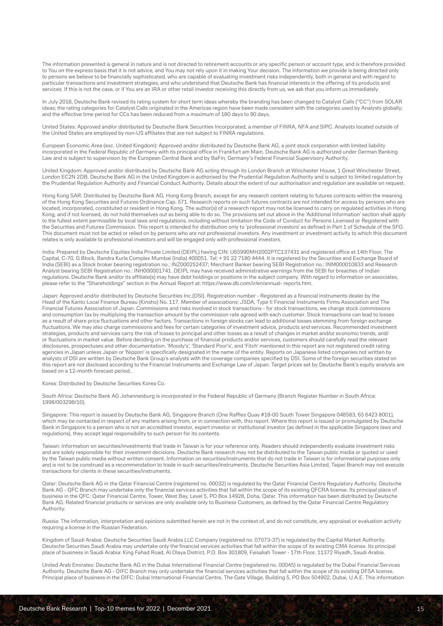The information presented is general in nature and is not directed to retirement accounts or any specific person or account type, and is therefore provided to You on the express basis that it is not advice, and You may not rely upon it in making Your decision. The information we provide is being directed only to persons we believe to be financially sophisticated, who are capable of evaluating investment risks independently, both in general and with regard to particular transactions and investment strategies, and who understand that Deutsche Bank has financial interests in the offering of its products and services. If this is not the case, or if You are an IRA or other retail investor receiving this directly from us, we ask that you inform us immediately.

In July 2018, Deutsche Bank revised its rating system for short term ideas whereby the branding has been changed to Catalyst Calls ("CC") from SOLAR ideas; the rating categories for Catalyst Calls originated in the Americas region have been made consistent with the categories used by Analysts globally; and the effective time period for CCs has been reduced from a maximum of 180 days to 90 days.

United States: Approved and/or distributed by Deutsche Bank Securities Incorporated, a member of FINRA, NFA and SIPC. Analysts located outside of the United States are employed by non-US affiliates that are not subject to FINRA regulations.

European Economic Area (exc. United Kingdom): Approved and/or distributed by Deutsche Bank AG, a joint stock corporation with limited liability incorporated in the Federal Republic of Germany with its principal office in Frankfurt am Main. Deutsche Bank AG is authorized under German Banking Law and is subject to supervision by the European Central Bank and by BaFin, Germany's Federal Financial Supervisory Authority.

United Kingdom: Approved and/or distributed by Deutsche Bank AG acting through its London Branch at Winchester House, 1 Great Winchester Street, London EC2N 2DB. Deutsche Bank AG in the United Kingdom is authorised by the Prudential Regulation Authority and is subject to limited regulation by the Prudential Regulation Authority and Financial Conduct Authority. Details about the extent of our authorisation and regulation are available on request.

Hong Kong SAR: Distributed by Deutsche Bank AG, Hong Kong Branch, except for any research content relating to futures contracts within the meaning of the Hong Kong Securities and Futures Ordinance Cap. 571. Research reports on such futures contracts are not intended for access by persons who are located, incorporated, constituted or resident in Hong Kong. The author(s) of a research report may not be licensed to carry on regulated activities in Hong Kong, and if not licensed, do not hold themselves out as being able to do so. The provisions set out above in the 'Additional Information' section shall apply to the fullest extent permissible by local laws and regulations, including without limitation the Code of Conduct for Persons Licensed or Registered with the Securities and Futures Commission. This report is intended for distribution only to 'professional investors' as defined in Part 1 of Schedule of the SFO. This document must not be acted or relied on by persons who are not professional investors. Any investment or investment activity to which this document relates is only available to professional investors and will be engaged only with professional investors.

India: Prepared by Deutsche Equities India Private Limited (DEIPL) having CIN: U65990MH2002PTC137431 and registered office at 14th Floor, The Capital, C-70, G Block, Bandra Kurla Complex Mumbai (India) 400051. Tel: + 91 22 7180 4444. It is registered by the Securities and Exchange Board of India (SEBI) as a Stock broker bearing registration no.: INZ000252437; Merchant Banker bearing SEBI Registration no.: INM000010833 and Research Analyst bearing SEBI Registration no.: INH000001741. DEIPL may have received administrative warnings from the SEBI for breaches of Indian regulations. Deutsche Bank and/or its affiliate(s) may have debt holdings or positions in the subject company. With regard to information on associates, please refer to the "Shareholdings" section in the Annual Report at: https://www.db.com/ir/en/annual- reports.htm.

Japan: Approved and/or distributed by Deutsche Securities Inc.(DSI). Registration number - Registered as a financial instruments dealer by the Head of the Kanto Local Finance Bureau (Kinsho) No. 117. Member of associations: JSDA, Type II Financial Instruments Firms Association and The Financial Futures Association of Japan. Commissions and risks involved in stock transactions - for stock transactions, we charge stock commissions and consumption tax by multiplying the transaction amount by the commission rate agreed with each customer. Stock transactions can lead to losses as a result of share price fluctuations and other factors. Transactions in foreign stocks can lead to additional losses stemming from foreign exchange fluctuations. We may also charge commissions and fees for certain categories of investment advice, products and services. Recommended investment strategies, products and services carry the risk of losses to principal and other losses as a result of changes in market and/or economic trends, and/ or fluctuations in market value. Before deciding on the purchase of financial products and/or services, customers should carefully read the relevant disclosures, prospectuses and other documentation. 'Moody's', 'Standard Poor's', and 'Fitch' mentioned in this report are not registered credit rating agencies in Japan unless Japan or 'Nippon' is specifically designated in the name of the entity. Reports on Japanese listed companies not written by analysts of DSI are written by Deutsche Bank Group's analysts with the coverage companies specified by DSI. Some of the foreign securities stated on this report are not disclosed according to the Financial Instruments and Exchange Law of Japan. Target prices set by Deutsche Bank's equity analysts are based on a 12-month forecast period..

Korea: Distributed by Deutsche Securities Korea Co.

South Africa: Deutsche Bank AG Johannesburg is incorporated in the Federal Republic of Germany (Branch Register Number in South Africa: 1998/003298/10).

Singapore: This report is issued by Deutsche Bank AG, Singapore Branch (One Raffles Quay #18-00 South Tower Singapore 048583, 65 6423 8001), which may be contacted in respect of any matters arising from, or in connection with, this report. Where this report is issued or promulgated by Deutsche Bank in Singapore to a person who is not an accredited investor, expert investor or institutional investor (as defined in the applicable Singapore laws and regulations), they accept legal responsibility to such person for its contents.

Taiwan: Information on securities/investments that trade in Taiwan is for your reference only. Readers should independently evaluate investment risks and are solely responsible for their investment decisions. Deutsche Bank research may not be distributed to the Taiwan public media or quoted or used by the Taiwan public media without written consent. Information on securities/instruments that do not trade in Taiwan is for informational purposes only and is not to be construed as a recommendation to trade in such securities/instruments. Deutsche Securities Asia Limited, Taipei Branch may not execute transactions for clients in these securities/instruments.

Qatar: Deutsche Bank AG in the Qatar Financial Centre (registered no. 00032) is regulated by the Qatar Financial Centre Regulatory Authority. Deutsche Bank AG - QFC Branch may undertake only the financial services activities that fall within the scope of its existing QFCRA license. Its principal place of business in the QFC: Qatar Financial Centre, Tower, West Bay, Level 5, PO Box 14928, Doha, Qatar. This information has been distributed by Deutsche Bank AG. Related financial products or services are only available only to Business Customers, as defined by the Qatar Financial Centre Regulatory Authority.

Russia: The information, interpretation and opinions submitted herein are not in the context of, and do not constitute, any appraisal or evaluation activity requiring a license in the Russian Federation.

Kingdom of Saudi Arabia: Deutsche Securities Saudi Arabia LLC Company (registered no. 07073-37) is regulated by the Capital Market Authority. Deutsche Securities Saudi Arabia may undertake only the financial services activities that fall within the scope of its existing CMA license. Its principal place of business in Saudi Arabia: King Fahad Road, Al Olaya District, P.O. Box 301809, Faisaliah Tower - 17th Floor, 11372 Riyadh, Saudi Arabia.

United Arab Emirates: Deutsche Bank AG in the Dubai International Financial Centre (registered no. 00045) is regulated by the Dubai Financial Services Authority. Deutsche Bank AG - DIFC Branch may only undertake the financial services activities that fall within the scope of its existing DFSA license. Principal place of business in the DIFC: Dubai International Financial Centre, The Gate Village, Building 5, PO Box 504902, Dubai, U.A.E. This information